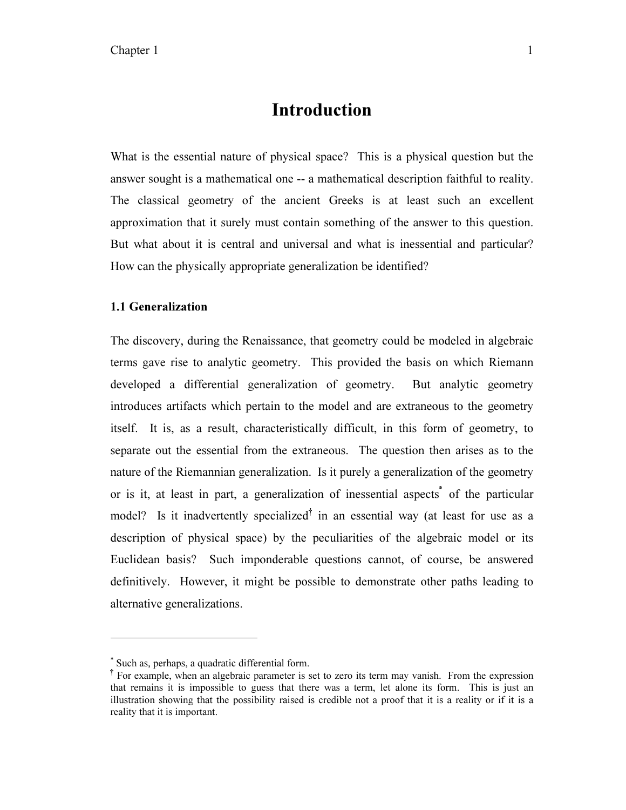# Introduction

What is the essential nature of physical space? This is a physical question but the answer sought is a mathematical one -- a mathematical description faithful to reality. The classical geometry of the ancient Greeks is at least such an excellent approximation that it surely must contain something of the answer to this question. But what about it is central and universal and what is inessential and particular? How can the physically appropriate generalization be identified?

## 1.1 Generalization

The discovery, during the Renaissance, that geometry could be modeled in algebraic terms gave rise to analytic geometry. This provided the basis on which Riemann developed a differential generalization of geometry. But analytic geometry introduces artifacts which pertain to the model and are extraneous to the geometry itself. It is, as a result, characteristically difficult, in this form of geometry, to separate out the essential from the extraneous. The question then arises as to the nature of the Riemannian generalization. Is it purely a generalization of the geometry or is it, at least in part, a generalization of inessential aspects<sup>\*</sup> of the particular model? Is it inadvertently specialized<sup>†</sup> in an essential way (at least for use as a description of physical space) by the peculiarities of the algebraic model or its Euclidean basis? Such imponderable questions cannot, of course, be answered definitively. However, it might be possible to demonstrate other paths leading to alternative generalizations.

ī

<sup>-</sup> Such as, perhaps, a quadratic differential form.

<sup>&</sup>lt;sup>†</sup> For example, when an algebraic parameter is set to zero its term may vanish. From the expression that remains it is impossible to guess that there was a term, let alone its form. This is just an illustration showing that the possibility raised is credible not a proof that it is a reality or if it is a reality that it is important.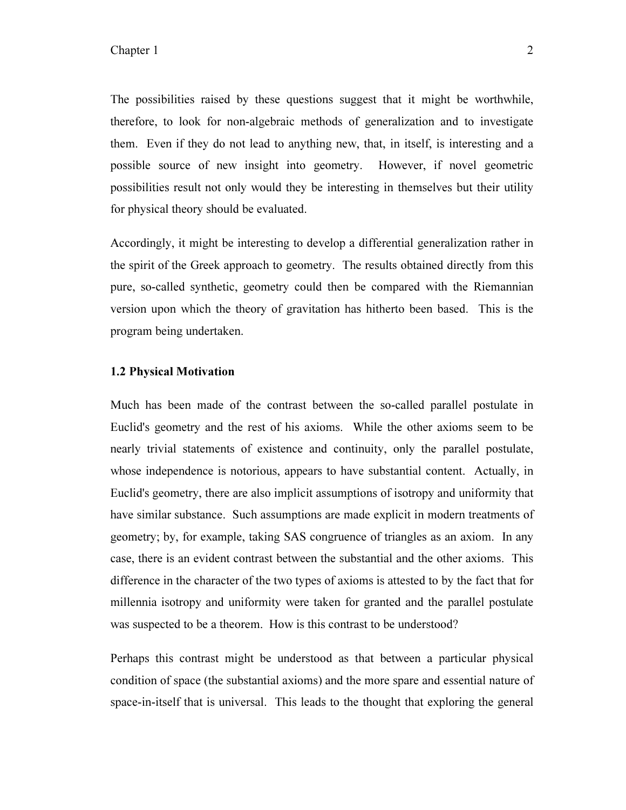# Chapter 1 2

The possibilities raised by these questions suggest that it might be worthwhile, therefore, to look for non-algebraic methods of generalization and to investigate them. Even if they do not lead to anything new, that, in itself, is interesting and a possible source of new insight into geometry. However, if novel geometric possibilities result not only would they be interesting in themselves but their utility for physical theory should be evaluated.

Accordingly, it might be interesting to develop a differential generalization rather in the spirit of the Greek approach to geometry. The results obtained directly from this pure, so-called synthetic, geometry could then be compared with the Riemannian version upon which the theory of gravitation has hitherto been based. This is the program being undertaken.

### 1.2 Physical Motivation

Much has been made of the contrast between the so-called parallel postulate in Euclid's geometry and the rest of his axioms. While the other axioms seem to be nearly trivial statements of existence and continuity, only the parallel postulate, whose independence is notorious, appears to have substantial content. Actually, in Euclid's geometry, there are also implicit assumptions of isotropy and uniformity that have similar substance. Such assumptions are made explicit in modern treatments of geometry; by, for example, taking SAS congruence of triangles as an axiom. In any case, there is an evident contrast between the substantial and the other axioms. This difference in the character of the two types of axioms is attested to by the fact that for millennia isotropy and uniformity were taken for granted and the parallel postulate was suspected to be a theorem. How is this contrast to be understood?

Perhaps this contrast might be understood as that between a particular physical condition of space (the substantial axioms) and the more spare and essential nature of space-in-itself that is universal. This leads to the thought that exploring the general